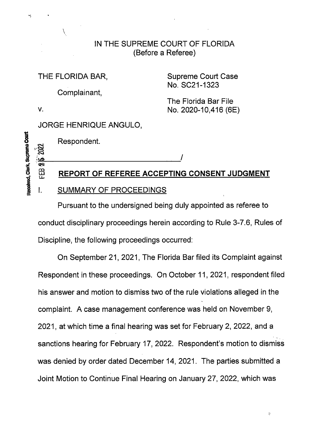# IN THE SUPREME COURT OF FLORIDA (Before a Referee)

THE FLORIDA BAR, Supreme Court Case No. SC21-1323

Complainant,

The Florida Bar File v. No. 2020-10,416 (6E)

2022

ميا<br>چو

FEB

### JORGE HENRIQUE ANGULO,

Received, Clerk, Supreme Court

### Respondent.

# REPORT OF REFEREE ACCEPTING CONSENT JUDGMENT

#### I. SUMMARY OF PROCEEDINGS

Pursuant to the undersigned being duly appointed as referee to conduct disciplinary proceedings herein according to Rule 3-7.6, Rules of Discipline, the following proceedings occurred:

On September 21, 2021, The Florida Bar filed its Complaint against Respondent in these proceedings. On October 11, 2021, respondent filed his answer and motion to dismiss two of the rule violations alleged in the complaint. A case management conference was held on November 9, 2021, at which time a final hearing was set for February 2, 2022, and a sanctions hearing for February 17, 2022. Respondent's motion to dismiss was denied by order dated December 14, 2021. The parties submitted a Joint Motion to Continue Final Hearing on January 27, 2022, which was

 $\tilde{\psi}$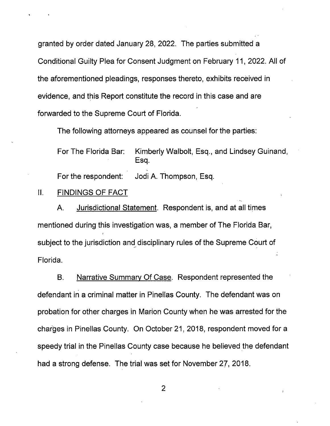granted by order dated January 28, 2022. The parties submitted a Conditional Guilty Plea for Consent Judgment on February 11, 2022. AII of the aforementioned pleadings, responses thereto, exhibits received in evidence, and this Report constitute the record in this case and are forwarded to the Supreme Court of Florida.

The following attorneys appeared as counsel for the parties:

For The Florida Bar: Kimberly Walbolt, Esq., and Lindsey Guinand, Esq. For the respondent: Jodi A. Thompson, Esq.

#### II. FINDINGS OF FACT

A. Jurisdictional Statement. Respondent is, and at all times mentioned during this investigation was, a member of The Florida Bar, subject to the jurisdiction and disciplinary rules of the Supreme Court of Florida.

B. Narrative Summary Of Case. Respondent represented the defendant in a criminal matter in Pinellas County. The defendant was on probation for other charges in Marion County when he was arrested for the charges in Pinellas County. On October 21, 2018, respondent moved for a speedy trial in the Pinellas County case because he believed the defendant had a strong defense. The trial was set for November 27, 2018.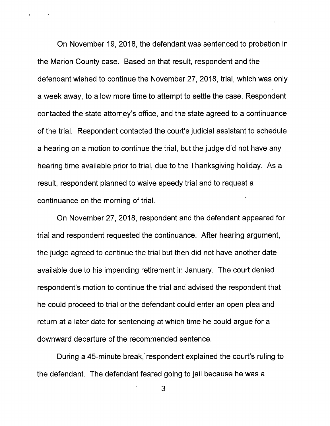On November 19, 2018, the defendant was sentenced to probation in the Marion County case. Based on that result, respondent and the defendant wished to continue the November 27, 2018, trial, which was only a week away, to allow more time to attempt to settle the case. Respondent contacted the state attorney's office, and the state agreed to a continuance of the trial. Respondent contacted the court's judicial assistant to schedule a hearing on a motion to continue the trial, but the judge did not have any hearing time available prior to trial, due to the Thanksgiving holiday. As a result, respondent planned to waive speedy trial and to request a continuance on the morning of trial.

On November 27, 2018, respondent and the defendant appeared for trial and respondent requested the continuance. After hearing argument, the judge agreed to continue the trial but then did not have another date available due to his impending retirement in January. The court denied respondent's motion to continue the trial and advised the respondent that he could proceed to trial or the defendant could enter an open plea and return at a later date for sentencing at which time he could argue for a downward departure of the recommended sentence.

During a 45-minute break, respondent explained the court's ruling to the defendant. The defendant feared going to jail because he was a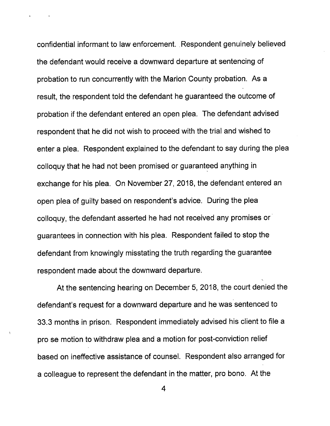confidential informant to law enforcement. Respondent genuinely believed the defendant would receive a downward departure at sentencing of probation to run concurrently with the Marion County probation. As a result, the respondent told the defendant he guaranteed the outcome of probation if the defendant entered an open plea. The defendant advised respondent that he did not wish to proceed with the trial and wished to enter a plea. Respondent explained to the defendant to say during the plea colloquy that he had not been promised or guaranteed anything in exchange for his plea. On November 27, 2018, the defendant entered an open plea of guilty based on respondent's advice. During the plea colloquy, the defendant asserted he had not received any promises or guarantees in connection with his plea. Respondent failed to stop the defendant from knowingly misstating the truth regarding the guarantee respondent made about the downward departure.

At the sentencing hearing on December 5, 2018, the court denied the defendant's request for a downward departure and he was sentenced to 33.3 months in prison. Respondent immediately advised his client to file a pro se motion to withdraw plea and a motion for post-conviction relief based on ineffective assistance of counsel. Respondent also arranged for a colleague to represent the defendant in the matter, pro bono. At the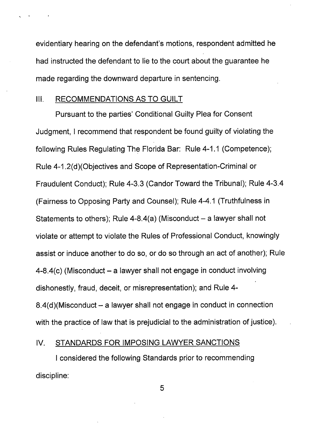evidentiary hearing on the defendant's motions, respondent admitted he had instructed the defendant to lie to the court about the guarantee he made regarding the downward departure in sentencing.

#### III. RECOMMENDATIONS AS TO GUILT

Pursuant to the parties' Conditional Guilty Plea for Consent Judgment, <sup>I</sup> recommend that respondent be found guilty of violating the following Rules Regulating The Florida Bar: Rule 4-1.1 (Competence); Rule 4-1.2(d)(Objectives and Scope of Representation-Criminal or Fraudulent Conduct); Rule 4-3.3 (Candor Toward the Tribunal); Rule 4-3.4 (Fairness to Opposing Party and Counsel); Rule 4-4.1 (Truthfulness in Statements to others); Rule  $4-8.4(a)$  (Misconduct  $-$  a lawyer shall not violate or attempt to violate the Rules of Professional Conduct, knowingly assist or induce another to do so, or do so through an act of another); Rule  $4-8.4(c)$  (Misconduct – a lawyer shall not engage in conduct involving dishonestly, fraud, deceit, or misrepresentation); and Rule 4-  $8.4$ (d)(Misconduct – a lawyer shall not engage in conduct in connection with the practice of law that is prejudicial to the administration of justice).

# IV. STANDARDS FOR IMPOSING LAWYER SANCTIONS

<sup>I</sup> considered the following Standards prior to recommending discipline: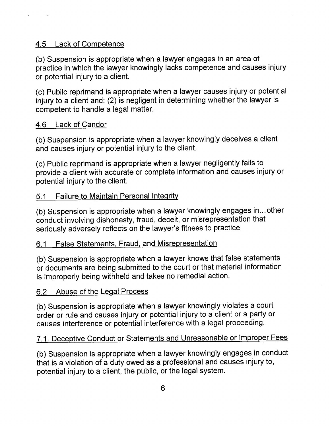# 4.5 Lack of Competence

(b) Suspension is appropriate when a lawyer engages in an area of practice in which the lawyer knowingly lacks competence and causes injury or potential injury to a client.

(c) Public reprimand is appropriate when a lawyer causes injury or potential injury to a client and: (2) is negligent in determining whether the lawyer is competent to handle a legal matter.

# 4.6 Lack of Candor

(b) Suspension is appropriate when a lawyer knowingly deceives a client and causes injury or potential injury to the client.

(c) Public reprimand is appropriate when a lawyer negligently fails to provide a client with accurate or complete information and causes injury or potential injury to the client.

# 5.1 Failure to Maintain Personal Integrity

(b) Suspension is appropriate when a lawyer knowingly engages in...other conduct involving dishonesty, fraud, deceit, or misrepresentation that seriously adversely reflects on the lawyer's fitness to practice.

# 6.1 False Statements, Fraud, and Misrepresentation

(b) Suspension is appropriate when a lawyer knows that false statements or documents are being submitted to the court or that material information is improperly being withheld and takes no remedial action.

# 6.2 Abuse of the Legal Process

(b) Suspension is appropriate when a lawyer knowingly violates a court order or rule and causes injury or potential injury to a client or a party or causes interference or potential interference with a legal proceeding.

# 7.1. Deceptive Conduct or Statements and Unreasonable or Improper Fees

(b) Suspension is appropriate when a lawyer knowingly engages in conduct that is a violation of a duty owed as a professional and causes injury to, potential injury to a client, the public, or the legal system.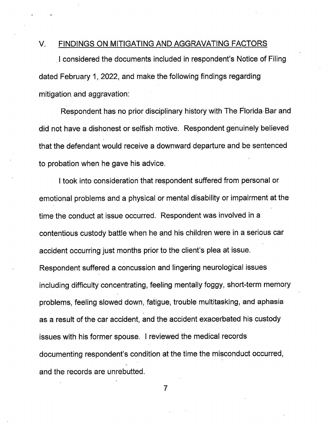#### V. FINDINGS ON MITIGATING AND AGGRAVATING FACTORS

<sup>I</sup> considered the documents included in respondent's Notice of Filing dated February 1, 2022, and make the following findings regarding mitigation and aggravation:

Respondent has no prior disciplinary history with The Florida Bar and did not have a dishonest or selfish motive. Respondent genuinely believed that the defendant would receive a downward departure and be sentenced to probation when he gave his advice.

<sup>I</sup> took into consideration that respondent suffered from personal or emotional problems and a physical or mental disability or impairment at the time the conduct at issue occurred. Respondent was involved in a contentious custody battle when he and his children were in a serious car accident occurring just months prior to the client's plea at issue. Respondent suffered a concussion and lingering neurological issues including difficulty concentrating, feeling mentally foggy, short-term memory problems, feeling slowed down, fatigue, trouble multitasking, and aphasia as a result of the car accident, and the accident exacerbated his custody issues with his former spouse. <sup>I</sup> reviewed the medical records documenting respondent's condition at the time the misconduct occurred, and the records are unrebutted.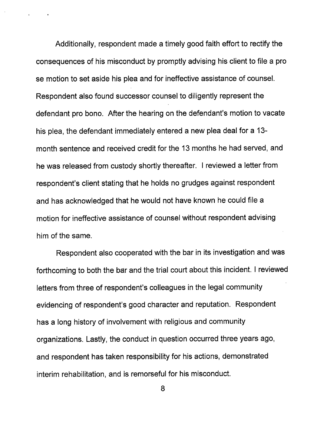Additionally, respondent made a timely good faith effort to rectify the consequences of his misconduct by promptly advising his client to file a pro se motion to set aside his plea and for ineffective assistance of counsel. Respondent also found successor counsel to diligently represent the defendant pro bono. After the hearing on the defendant's motion to vacate his plea, the defendant immediately entered a new plea deal for a 13 month sentence and received credit for the 13 months he had served, and he was released from custody shortly thereafter. <sup>I</sup> reviewed a letter from respondent's client stating that he holds no grudges against respondent and has acknowledged that he would not have known he could file a motion for ineffective assistance of counsel without respondent advising him of the same.

Respondent also cooperated with the bar in its investigation and was forthcoming to both the bar and the trial court about this incident. <sup>I</sup> reviewed letters from three of respondent's colleagues in the legal community evidencing of respondent's good character and reputation. Respondent has a long history of involvement with religious and community organizations. Lastly, the conduct in question occurred three years ago, and respondent has taken responsibility for his actions, demonstrated interim rehabilitation, and is remorseful for his misconduct.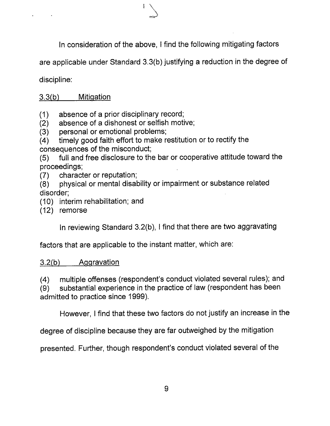In consideration of the above, <sup>I</sup> find the following mitigating factors

are applicable under Standard 3.3(b) justifying a reduction in the degree of

discipline:

# 3.3(b) Mitigation

(1) absence of a prior disciplinary record;

(2) absence of a dishonest or selfish motive;

(3) personal or emotional problems;

(4) timely good faith effort to make restitution or to rectify the

consequences of the misconduct;

(5) full and free disclosure to the bar or cooperative attitude toward the proceedings;

(7) character or reputation;

(8) physical or mental disability or impairment or substance related disorder;

(10) interim rehabilitation; and

(12) remorse

In reviewing Standard 3.2(b), <sup>I</sup> find that there are two aggravating

factors that are applicable to the instant matter, which are:

### 3.2(b) Aqqravation

(4) multiple offenses (respondent's conduct violated several rules); and

(9) substantial experience in the practice of law (respondent has been admitted to practice since 1999).

However, <sup>I</sup> find that these two factors do not justify an increase in the

degree of discipline because they are far outweighed by the mitigation

presented. Further, though respondent's conduct violated several of the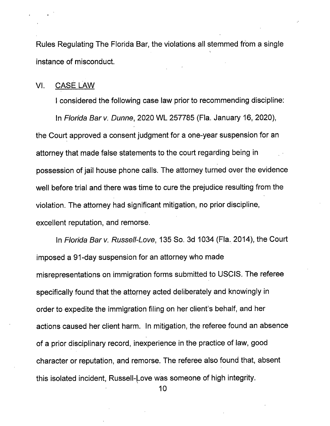Rules Regulating The Florida Bar, the violations all stemmed from a single instance of misconduct.

#### VI. CASE LAW

<sup>I</sup> considered the following case law prior to recommending discipline:

In Florida Bar v. Dunne, 2020 WL 257785 (Fla. January 16, 2020), the Court approved a consent judgment for a one-year suspension for an attorney that made false statements to the court regarding being in possession of jail house phone calls. The attorney turned over the evidence well before trial and there was time to cure the prejudice resulting from the violation. The attorney had significant mitigation, no prior discipline, excellent reputation, and remorse.

In Florida Bar v. Russell-Love, 135 So. 3d 1034 (Fla. 2014), the Court imposed a 91-day suspension for an attorney who made misrepresentations on immigration forms submitted to USCIS. The referee specifically found that the attorney acted deliberately and knowingly in order to expedite the immigration filing on her client's behalf, and her actions caused her client harm. In mitigation, the referee found an absence of a prior disciplinary record, inexperience in the practice of law, good character or reputation, and remorse. The referee also found that, absent this isolated incident, Russell-Love was someone of high integrity.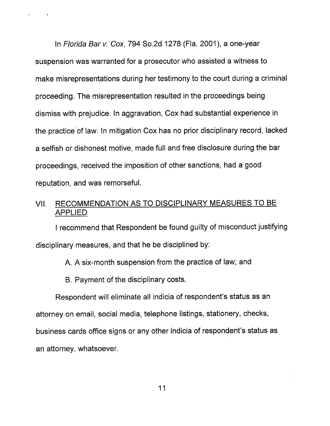In Florida Bar v. Cox, 794 So.2d 1278 (Fla. 2001), a one-year suspension was warranted for a prosecutor who assisted a witness to make misrepresentations during her testimony to the court during a criminal proceeding. The misrepresentation resulted in the proceedings being dismiss with prejudice. In aggravation, Cox had substantial experience in the practice of law. In mitigation Cox has no prior disciplinary record, lacked a selfish or dishonest motive, made full and free disclosure during the bar proceedings, received the imposition of other sanctions, had a good reputation, and was remorseful.

# VII. RECOMMENDATION AS TO DISCIPLINARY MEASURES TO BE APPLIED

<sup>I</sup> recommend that Respondent be found guilty of misconduct justifying disciplinary measures, and that he be disciplined by:

A. A six-month suspension from the practice of law; and

B. Payment of the disciplinary costs.

Respondent will eliminate all indicia of respondent's status as an attorney on email, social media, telephone listings, stationery, checks, business cards office signs or any other indicia of respondent's status as an attorney, whatsoever.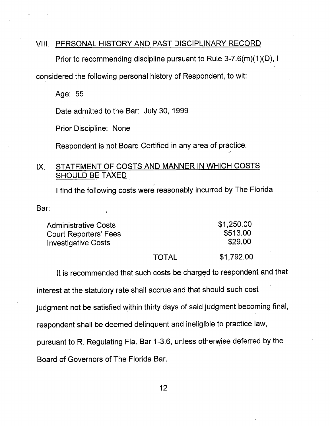### VIII. PERSONAL HISTORY AND PAST DISCIPLINARY RECORD

Prior to recommending discipline pursuant to Rule 3-7.6(m)(1)(D), <sup>I</sup>

considered the following personal history of Respondent, to wit:

Age: 55

Date admitted to the Bar: July 30, 1999

Prior Discipline: None

Respondent is not Board Certified in any area of practice.

### IX. STATEMENT OF COSTS AND MANNER IN WHICH COSTS SHOULD BE TAXED

<sup>I</sup> find the following costs were reasonably incurred by The Florida

Bar:

| <b>Administrative Costs</b>  |       | \$1,250.00 |
|------------------------------|-------|------------|
| <b>Court Reporters' Fees</b> |       | \$513.00   |
| <b>Investigative Costs</b>   |       | \$29.00    |
|                              | TOTAL | \$1,792.00 |

It is recommended that such costs be charged to respondent and that

interest at the statutory rate shall accrue and that should such cost

judgment not be satisfied within thirty days of said judgment becoming final,

respondent shall be deemed delinquent and ineligible to practice law,

pursuant to R. Regulating Fla. Bar 1-3.6, unless otherwise deferred by the

Board of Governors of The Florida Bar.